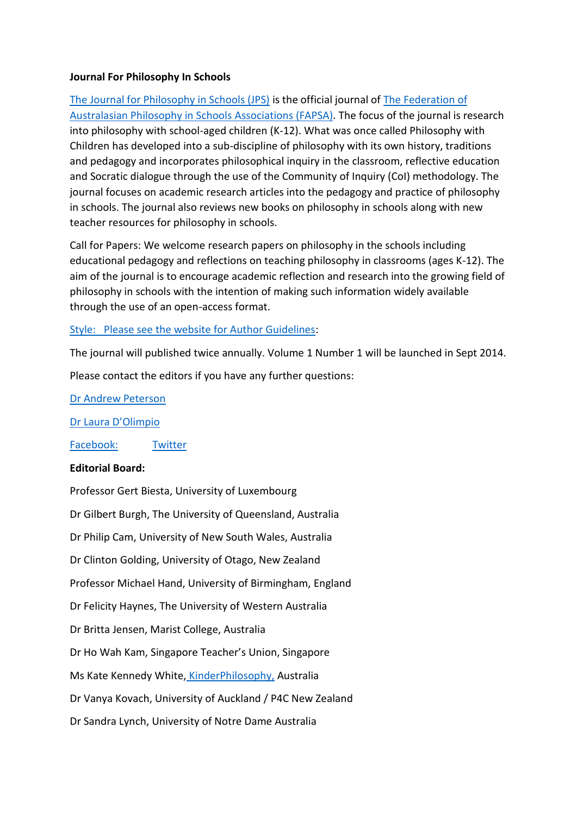## **Journal For Philosophy In Schools**

[The Journal for Philosophy in Schools \(JPS\)](http://www.ojs.unisa.edu.au/index.php/jps/index) is the official journal of [The Federation of](http://www.fapsa.org/)  [Australasian Philosophy in Schools Associations \(FAPSA\).](http://www.fapsa.org/) The focus of the journal is research into philosophy with school-aged children (K-12). What was once called Philosophy with Children has developed into a sub-discipline of philosophy with its own history, traditions and pedagogy and incorporates philosophical inquiry in the classroom, reflective education and Socratic dialogue through the use of the Community of Inquiry (CoI) methodology. The journal focuses on academic research articles into the pedagogy and practice of philosophy in schools. The journal also reviews new books on philosophy in schools along with new teacher resources for philosophy in schools.

Call for Papers: We welcome research papers on philosophy in the schools including educational pedagogy and reflections on teaching philosophy in classrooms (ages K-12). The aim of the journal is to encourage academic reflection and research into the growing field of philosophy in schools with the intention of making such information widely available through the use of an open-access format.

## [Style: Please see the website for Author Guidelines:](https://web2.northsydgi-h.schools.nsw.edu.au/pinsnsw/%20http:/www.ojs.unisa.edu.au/index.php/jps/about/submissions#onlineSubmissions)

The journal will published twice annually. Volume 1 Number 1 will be launched in Sept 2014.

Please contact the editors if you have any further questions:

[Dr Andrew Peterson](mailto:andrew.Peterson@unisa.edu.au)

[Dr Laura D'Olimpio](mailto:laura.dolimpio@nd.edu.au)

[Facebook:](https://www.facebook.com/JournalofPhilosophyinSchools?fref=ts) [Twitter](https://web2.northsydgi-h.schools.nsw.edu.au/pinsnsw/@JournalP4C)

## **Editorial Board:**

Professor Gert Biesta, University of Luxembourg Dr Gilbert Burgh, The University of Queensland, Australia Dr Philip Cam, University of New South Wales, Australia Dr Clinton Golding, University of Otago, New Zealand Professor Michael Hand, University of Birmingham, England Dr Felicity Haynes, The University of Western Australia Dr Britta Jensen, Marist College, Australia Dr Ho Wah Kam, Singapore Teacher's Union, Singapore Ms Kate Kennedy White, [KinderPhilosophy,](http://www.kinderphilosophy.com/) Australia Dr Vanya Kovach, University of Auckland / P4C New Zealand Dr Sandra Lynch, University of Notre Dame Australia